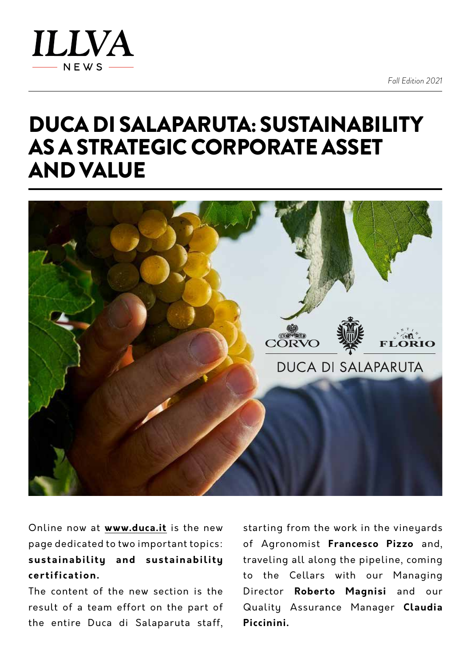

*Fall Edition 2021*

## DUCA DI SALAPARUTA: SUSTAINABILITY AS A STRATEGIC CORPORATE ASSET AND VALUE



Online now at **[www.duca.it](http://www.duca.it)** is the new page dedicated to two important topics: **sustainability and sustainability certification.**

The content of the new section is the result of a team effort on the part of the entire Duca di Salaparuta staff,

starting from the work in the vineyards of Agronomist **Francesco Pizzo** and, traveling all along the pipeline, coming to the Cellars with our Managing Director **Roberto Magnisi** and our Quality Assurance Manager **Claudia Piccinini.**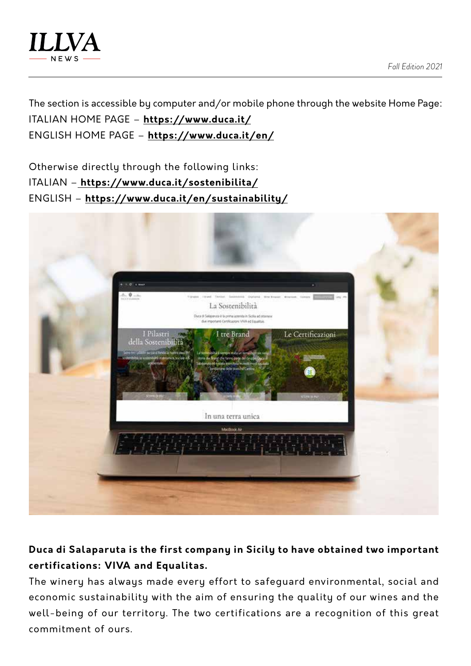

The section is accessible by computer and/or mobile phone through the website Home Page: ITALIAN HOME PAGE – **<https://www.duca.it/>** ENGLISH HOME PAGE – **<https://www.duca.it/en/>**

Otherwise directly through the following links: ITALIAN –**<https://www.duca.it/sostenibilita/>** ENGLISH – **<https://www.duca.it/en/sustainability/>**



## **Duca di Salaparuta is the first company in Sicily to have obtained two important certifications: VIVA and Equalitas.**

The winery has always made every effort to safeguard environmental, social and economic sustainability with the aim of ensuring the quality of our wines and the well-being of our territory. The two certifications are a recognition of this great commitment of ours.